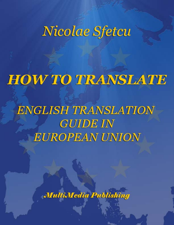# Nicolae Sfetcu

# HOW TO TRANSLATE

# **ENGLISH TRANSLATION GUIDE IN EUROPEAN UNION**

**MultiMedia Publishing**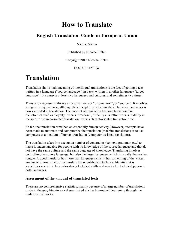### **How to Translate**

### **English Translation Guide in European Union**

Nicolae Sfetcu

Published by Nicolae Sfetcu

Copyright 2015 Nicolae Sfetcu

BOOK PREVIEW

## **Translation**

Translation (in its main meaning of interlingual translation) is the fact of getting a text written in a language ("source language") in a text written in another language ("target language"). It connects at least two languages and cultures, and sometimes two times.

Translation represents always an original text (or "original text", or "source"). It involves a degree of equivalence, although the concept of strict equivalence between languages is now exceeded in translation. The concept of translation has long been based on dichotomies such as "loyalty" versus "freedom", "fidelity à la lettre" versus "fidelity in the spirit," "source-oriented translation" versus "target-oriented translation" etc.

So far, the translation remained an essentially human activity. However, attempts have been made to automate and computerize the translation (machine translation) or to use computers as a medium of human translation (computer-assisted translation).

The translation takes into account a number of constraints (context, grammar, etc.) to make it understandable for people with no knowledge of the source language and that do not have the same culture and the same baggage of knowledge. Translating involves controlling the source language, but also the target language, which is usually the mother tongue. A good translator has more than language skills: it has something of the writer, analyst or journalist, etc.. To translate the scientific and technical literature, it is sometimes needed to have also strong technical skills and master the technical jargon in both languages.

#### **Assessment of the amount of translated texts**

There are no comprehensive statistics, mainly because of a large number of translations made in the gray literature or disseminated via the Internet without going through the traditional networks.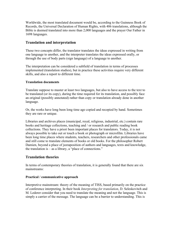Worldwide, the most translated document would be, according to the Guinness Book of Records, the Universal Declaration of Human Rights, with 406 translations, although the Bible is deemed translated into more than 2,000 languages and the prayer Our Father in 1698 languages.

#### **Translation and interpretation**

These two concepts differ, the translator translates the ideas expressed in writing from one language to another, and the interpreter translates the ideas expressed orally, or through the use of body parts (sign language) of a language to another.

The interpretation can be considered a subfield of translation in terms of processes implemented (translation studies), but in practice these activities require very different skills, and also a report to different time.

#### **Translation documents**

Translate suppose to master at least two languages, but also to have access to the text to be translated (or its copy), during the time required for its translation, and possibly face an original (possibly annotated) rather than copy or translation already done in another language.

Or, the works have long been long time ago copied and recopied by hand. Sometimes they are rare or unique.

Libraries and archives places (municipal, royal, religious, industrial, etc.) contain rare books and heritage collections, teaching and / or research and public reading book collections. They have a priori been important places for translators. Today, it is not always possible to take out or touch a book or photograph or microfilm. Libraries have been long time places where students, teachers, researchers and other professionals came and still come to translate elements of books or old books. For the philosopher Robert Damien, beyond a place of juxtaposition of authors and languages, texts and knowledge, the translation is  $-$  as a library, a "place of connections."

#### **Translation theories**

In terms of contemporary theories of translation, it is generally found that there are six mainstreams:

#### **Practical / communicative approach**

Interpretive mainstream: theory of the meaning of TISS, based primarily on the practice of conference interpreting. In their book *Interpreting for translation*, D. Seleskovitch and M. Lederer consider that you need to translate the meaning and not the language. This is simply a carrier of the message. The language can be a barrier to understanding. This is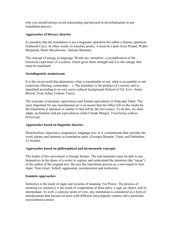why you should always avoid transcoding and proceed to deverbalisation in any translation process.

#### **Approaches of literary theories**

It considers that the translation is not a linguistic operation but rather a literary operation (Edmond Cary). In other words, to translate poetry, it must be a poet (Ezra Pound, Walter Benjamin, Henri Meschonnic, Antoine Berman).

The concept of energy in language: Words are, somehow, a crystallization of the historical experience of a culture, which gives them strength and it is this energy that must be translated.

#### **Sociolinguistic mainstream**

It is the social mold that determines what is translatable or not, what is acceptable or not (selection, filtering, censorship …). The translator is the product of a society and is translated according to its own socio-cultural background (School of Tel Aviv: Annie Brisset, Even Zohar, Gideon Toury).

The concepts of dynamic equivalence and formal equivalence in Nida and Taber: The most important for any translational act is to ensure that the effect left on the reader by the translation is identical or similar to that left by the text source. To do this, we must adapt, acclimatize and get equivalences (Jean Claude Margot, *Translating without betraying*).

#### **Approaches based on linguistic theories**

Structuralism, linguistics, pragmatics, language text. It is a mainstream that consider the word, phrase and sentence as translation units. (Georges Mounin, Vinay and Darbelnet, J.I Austin).

#### **Approaches based on philosophical and hermeneutic concepts**

The leader of this movement is George Steiner. The real translator must be able to put themselves in the shoes of a writer to capture and understand the intention (the "mean") of the author of the original text. He sees the translation process as a movement in four steps: Trust (trust / belief), aggression, incorporation and restitution.

#### **Semiotic approaches**

Semiotics is the study of signs and systems of meaning. For Peirce: The process of meaning (or semiosis) is the result of cooperation of three parts: a sign, an object, and its interpretant. As well. a semiotic point of view, any translation is considered as a form of interpretation that focuses on texts with different encyclopedic content and a particular sociocultural context.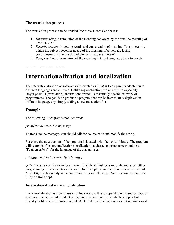#### **The translation process**

The translation process can be divided into three successive phases:

- 1. *Understanding*: assimilation of the meaning conveyed by the text, the meaning of a writer, etc.;
- 2. *Deverbalisation*: forgetting words and conservation of meaning: "the process by which the subject becomes aware of the meaning of a message losing consciousness of the words and phrases that gave content";
- 3. *Reexpression*: reformulation of the meaning in target language; back to words.

…………………………………………

## **Internationalization and localization**

The internationalization of software (abbreviated as i18n) is to prepare its adaptation to different languages and cultures. Unlike regionalization, which requires especially language skills (translation), internationalization is essentially a technical work of programmers. The goal is to produce a program that can be immediately deployed in different languages by simply adding a new translation file.

#### **Example**

The following C program is not localized:

*printf("Fatal error: %s\n", msg);*

To translate the message, you should edit the source code and modify the string.

For cons, the next version of the program is located, with the *gettext* library. The program will search its files regionalization (localization), a character string corresponding to "Fatal error:% s", for the language of the current user:

*printf(gettext("Fatal error: %s\n"), msg);*

*gettext* uses as key (index in localization files) the default version of the message. Other programming environments can be used, for example, a number (like was in the case of Mac OS), or rely on a dynamic configuration parameter (e.g. *I18n.translate* method of a Ruby on Rails app).

#### **Internationalization and localization**

Internationalization is a prerequisite of localization. It is to separate, in the source code of a program, which is independent of the language and culture of which is dependent (usually in files called translation tables). But internationalization does not require a work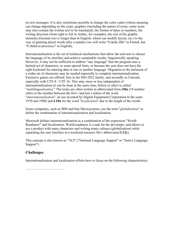on text messages. It is also sometimes possible to change the color codes (whose meaning can change depending on the crop), graphics (including the names of icons, some icons may also contain the written text to be translated), the format of dates or numbers, the writing direction (from right to left in Arabic, for example), the size of the graphic elements (German text is longer than in English, which can modify layout, etc.) to the way of granting plural words after a number (we will write "0 tâche fille" in French, but "0 chil*dren* process*es*" in English).

Internationalization is the set of technical mechanisms that allow the end user to choose the language of its interface and achieve sustainable results, linguistically speaking. However, it may not be sufficient to address "any language" that the program uses a limited set of characters, or some special fonts, or because the user does not have the right keyboard for entering data in one or another language. Migration or the inclusion of a wider set of characters may be needed especially to complete internationalization. Extensive games are offered, first in the ISO-2022 family, and secondly as Unicode, especially with UTF-8 / UTF-16. This step, more or less independent of internationalization (it can be done at the same time, before or after) is called "*multilingualization*." The terms are often written in abbreviated form **i18n** (18 number refers to the number between the first *i* and last *n* letters of the word "*internationalization*", an use invented by Digital Equipment Corporation in the years 1970 and 1980) and **L10n** for the word "*localization*" due to the length of the words.

Some companies, such as IBM and Sun Microsystems, use the term "*globalization*" to define the combination of internationalization and localization.

Microsoft defines internationalization as a combination of the expression "World-Readiness"' and localization. World-readiness is a task for the developer, and allows to use a product with many characters and writing many cultures (globalization) while separating the user interface in a localized resource file ( abbreviated **L12y**).

This concept is also known as "*NLS*" ("National Language Support" or "Native Language Support")

#### **Challenges**

Internationalization and localization efforts have to focus on the following characteristics:

……………………………………………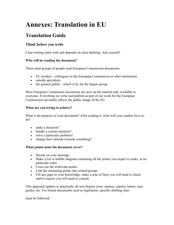# **Annexes: Translation in EU**

### **Translation Guide**

#### **Think before you write**

Clear writing starts with and depends on clear thinking. Ask yourself:

#### **Who will be reading the document?**

Three main groups of people read European Commission documents:

- EU insiders colleagues in the European Commission or other institutions
- outside specialists
- the general public which is by far the largest group.

Most European Commission documents are now on the.internet and. available to everyone. Everything we write and publish as part of our work for the European Commission inevitably affects the public image of the EU.

#### **What are you trying to achieve?**

What is the purpose of your document? After reading it, what will your readers have to do?

- make a decision?
- handle a certain situation?
- solve a particular problem?
- change their attitude towards something?

#### **What points must the document cover?**

- Decide on your message.
- Make a list or bubble diagram containing all the points you expect to make, in no particular order.
- Cross out the irrelevant points.
- Link the remaining points into related groups.
- Fill any gaps in your knowledge: make a note of facts you will need to check and/or experts you will need to consult.

This approach applies to practically all non-literary texts: memos, reports, letters, user guides, etc. For formal documents such as legtslation, specific drafting rules

must be followed.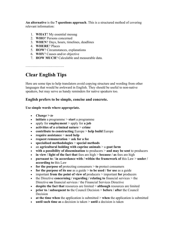**An alternative** is the **7 questions approach**. This is a structured method of covering relevant information:

- 1. **WHAT**? My essential messag
- 2. **WHO**? Persons concerned
- 3. **WHEN**? Days, hours, timelines, deadlines
- 4. **WHERE**? Places
- 5. **HOW**? Circumstances, explanations
- 6. **WHY**? Causes and/or objective
- 7. **HOW MUCH**? Calculable and measurable data.

…………………………………………

### **Clear English Tips**

Here are some tips to help translators avoid copying structure and wording from other languages that would be awkward in English. They should be useful to non-native speakers, but may serve as handy reminders for native speakers too.

#### **English prefers to be simple, concise and concrete.**

**Use simple words where appropriate.**

- *Change > to*
- **initiate** a programme > **start** a programme
- apply for **employment** > apply for **a job**
- **activities of a criminal nature** > **crime**
- **contribute to constructing** Europe > **help build** Europe
- **require assistance** > **need help**
- **request remuneration** > **ask for a fee**
- **specialised methodologies** > **special methods**
- an **agricultural holding with caprine animals** > a **goat farm**
- **with a possibility of dissemination** to producers > **and may be sent** to producers
- **in view / light of the fact that** fees are high > **because / as** fees are high
- **pursuant to / in accordance with / within the framework of** this Law > **under / according to** this Law
- **for the purpose of** protecting consumers  $>$  to protect consumers
- **for the purpose of its use** as a guide > **to be used / for use** as a guide
- important **from the point of view of** producers > important **for** producers
- the Directive **concerning / regarding / relating to** financial services > the Directive **on** financial services / the Financial Services Directive
- **despite the fact that** resources are limited > **although** resources are limited
- **prior to / subsequent to** the Council Decision > **before / after** the Council Decision
- **at the time when** the application is submitted > **when** the application is submitted
- **until such time as** a decision is taken > **until** a decision is taken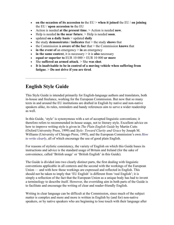- **on the occasion of its accession to** the EU > **when it joined** the EU / **on joining** the EU / **upon accession to** the EU
- Action is needed **at the present time**. > Action is needed **now**.
- Help is needed **in the near future**. > Help is needed **soon**.
- updated **on a daily basis** > updated **daily**
- the study **demonstrates / indicates** that > the study **shows** that
- the Commission i**s aware of the fac**t that > the Commission **knows** that
- $\cdot$  **in the event of an emergency**  $>$  **in an emergency**
- in the same context, it is necessary  $>$  it is also necessary
- **equal or superior to** EUR 10 000 > EUR 10 000 **or more**
- She **suffered an armed attack**. > She **was shot**.
- **It is inadvisable to be in control of a moving vehicle when suffering from fatigue**. > **Do not drive if you are tired**.

…………………………………………

### **English Style Guide**

This Style Guide is intended primarily for English-language authors and translators, both in-house and freelance, working for the European Commission. But now that so many texts in and around the EU institutions are drafted in English by native and non-native speakers alike, its rules, reminders and handy references aim to serve a wider readership as well.

In this Guide, 'style' is synonymous with a set of accepted linguistic conventions; it therefore refers to recommended in-house usage, not to literary style. Excellent advice on how to improve writing style is given in *The Plain English Guide* by Martin Cutts (Oxford University Press, 1999) and *Style: Toward Clarity and Grace* by Joseph M. Williams (University of Chicago Press, 1995), and the European Commission's own *How to write clearly*, all of which encourage the use of good plain English.

For reasons of stylistic consistency, the variety of English on which this Guide bases its instructions and advice is the standard usage of Britain and Ireland (for the sake of convenience, called 'British usage' or 'British English' in this Guide).

The Guide is divided into two clearly distinct parts, the first dealing with linguistic conventions applicable in all contexts and the second with the workings of the European Union — and with how those workings are expressed and reflected in English. This should not be taken to imply that 'EU English' is different from 'real English'; it is simply a reflection of the fact that the European Union as a unique body has had to invent a terminology to describe itself. However, the overriding aim in both parts of the Guide is to facilitate and encourage the writing of clear and reader-friendly English.

Writing in clear language can be difficult at the Commission, since much of the subject matter is complex and more and more is written in English by (and for) non-native speakers, or by native speakers who are beginning to lose touch with their language after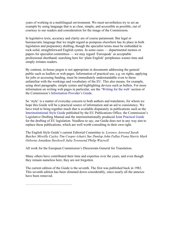years of working in a multilingual environment. We must nevertheless try to set an example by using language that is as clear, simple, and accessible as possible, out of courtesy to our readers and consideration for the image of the Commission.

In legislative texts, accuracy and clarity are of course paramount. But legal or bureaucratic language that we might regard as pompous elsewhere has its place in both legislation and preparatory drafting, though the specialist terms must be embedded in rock-solid, straightforward English syntax. In some cases — departmental memos or papers for specialist committees — we may regard 'Eurospeak' as acceptable professional shorthand; searching here for 'plain English' periphrases wastes time and simply irritates readers.

By contrast, in-house jargon is not appropriate in documents addressing the general public such as leaflets or web pages. Information of practical use, e.g. on rights, applying for jobs or accessing funding, must be immediately understandable even to those unfamiliar with the workings and vocabulary of the EU. This also means, for example, using short paragraphs, simple syntax and highlighting devices such as bullets. For more information on writing web pages in particular, see the 'Writing for the web' section of the Commission's Information Provider's Guide.

So 'style' is a matter of everyday concern to both authors and translators, for whom we hope this Guide will be a practical source of information and an aid to consistency. We have tried to bring together much that is available disparately in publications such as the Interinstitutional Style Guide published by the EU Publications Office, the Commission's Legislative Drafting Manual and the interinstitutionally produced Joint Practical Guide for the drafting of EU legislation. Needless to say, our Guide does not in any way aim to replace these publications, which are well worth consulting in their own right.

The English Style Guide's current Editorial Committee is: *Lorence Astwood Sarah Butcher Mireille Cayley Tim Cooper (chair) Sue Dunlop John Fallas Fiona Harris Mark Osborne Jonathan Stockwell Julia Townsend Philip Waywell* 

All work for the European Commission's Directorate-General for Translation.

Many others have contributed their time and expertise over the years, and even though they remain nameless here, they are not forgotten.

The current edition of the Guide is the seventh. The first was published back in 1982. This seventh edition has been slimmed down considerably, since nearly all the annexes have been removed.

…………………………………..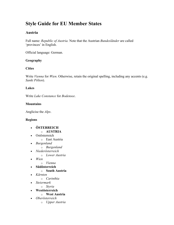### **Style Guide for EU Member States**

#### **Austria**

Full name: *Republic of Austria.* Note that the Austrian *Bundesländer* are called 'provinces' in English.

Official language: German.

#### **Geography**

#### **Cities**

Write *Vienna* for *Wien*. Otherwise, retain the original spelling, including any accents (e.g. *Sankt Pölten*).

#### **Lakes**

Write *Lake Constance* for *Bodensee*.

#### **Mountains**

Anglicise the *Alps*.

#### **Regions**

- **ÖSTERREICH** 
	- o **AUSTRIA**
- Ostösterreich
	- o East Austria
- *Burgenland* 
	- o *Burgenland*
- *Niederösterreich* 
	- o *Lower Austria*
- *Wien* 
	- o *Vienna*
- **Südösterreich**

#### o **South Austria**

- *Kärnten* 
	- o *Carinthia*
- *Steiermark* 
	- o *Styria*
- **Westösterreich** 
	- o **West Austria**
- *Oberösterreich* 
	- o *Upper Austria*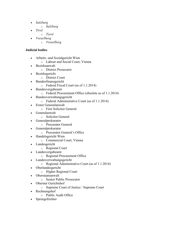- *Salzburg* 
	- o *Salzburg*
- *Tirol* 
	- o *Tyrol*
- *Vorarlberg* 
	- o *Vorarlberg*

#### **Judicial bodies**

- Arbeits- und Sozialgericht Wien
	- o Labour and Social Court, Vienna
- Bezirksanwalt
	- o District Prosecutor
- Bezirksgericht
	- o District Court
- Bundesfinanzgericht
	- o Federal Fiscal Court (as of 1.1.2014)
- Bundesvergabeamt
	- o Federal Procurement Office (obsolete as of 1.1.2014)
- Bundesverwaltungsgericht
	- o Federal Administrative Court (as of 1.1.2014)
- Erster Generalanwalt
	- o First Solicitor General
- Generalanwalt
	- o Solicitor General
- Generalprokurator
	- o Procurator General
- Generalprokuratur
	- o Procurator General's Office
- Handelsgericht Wien
	- o Commercial Court, Vienna
- Landesgericht
	- o Regional Court
- Landesvergabeamt
	- o Regional Procurement Office
- Landesverwaltungsgericht
	- o Regional Administrative Court (as of 1.1.2014)
- Oberlandesgericht
	- o Higher Regional Court
- Oberstaatsanwalt
	- o Senior Public Prosecutor
- Oberster Gerichtshof
	- o Supreme Court of Justice / Supreme Court
- Rechnungshof
	- o Public Audit Office
- **Sprengelrichter**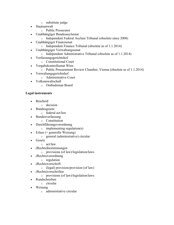- o substitute judge
- Staatsanwalt
	- o Public Prosecutor
- Unabhängiger Bundesasylsenat
	- o Independent Federal Asylum Tribunal (obsolete since 2008)
- Unabhängiger Finanzsenat
	- o Independent Finance Tribunal (obsolete as of 1.1.2014)
- Unabhängiger Verwaltungssenat
	- o Independent Administrative Tribunal (obsolete as of 1.1.2014)
- Verfassungsgerichtshof
	- o Constitutional Court
- Vergabekontrollsenat Wien
	- o Public Procurement Review Chamber, Vienna (obsolete as of 1.1.2014)
- Verwaltungsgerichtshof
	- o Administrative Court
- Volksanwaltschaft
	- o Ombudsman Board

#### **Legal instruments**

- Bescheid
	- o decision
- Bundesgesetz
	- o federal act/law
- Bundesverfassung
	- o Constitution
- Durchführungsverordnung
	- $\circ$  implementing regulation(s)
- Erlass  $(=$  generelle Weisung)
	- o general (administrative) circular
- Gesetz
	- o act/law
- (Rechts)bestimmungen
	- o provisions (of law)/legislation/laws
- (Rechts)verordnung
	- o regulation
- (Rechts)vorschrift
	- o (legal) provision/provision (of law)
- (Rechts)vorschriften
	- o provisions (of law)/legislation/laws
- Rundschreiben
	- o circular
- Weisung
	- o administrative circular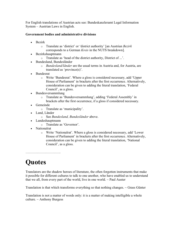For English translations of Austrian acts see: Bundeskanzleramt Legal Information System – Austrian Laws in English.

#### **Government bodies and administrative divisions**

- Bezirk
	- o Translate as 'district' or 'district authority' [an Austrian *Bezirk*  corresponds to a German *Kreis* in the NUTS breakdown].
- Bezirkshauptmann
	- o Translate as 'head of the district authority, District of ...'.
- Bundesland, Bundesländer
	- o *Bundesland/länder* are the usual terms in Austria and, for Austria, are translated as 'province(s)'.
- Bundesrat
	- o Write 'Bundesrat'. Where a gloss is considered necessary, add 'Upper House of Parliament' in brackets after the first occurrence. Alternatively, consideration can be given to adding the literal translation, 'Federal Council', as a gloss.
- Bundesversammlung
	- o Translate as 'Bundesversammlung', adding 'Federal Assembly' in brackets after the first occurrence, if a gloss if considered necessary.
- Gemeinde
	- o Translate as 'municipality'.
- Land, Länder
	- o See *Bundesland, Bundesländer* above.
	- Landeshauptmann
		- o Translate as 'Governor'.
- Nationalrat
	- o Write 'Nationalrat'. Where a gloss is considered necessary, add 'Lower House of Parliament' in brackets after the first occurrence. Alternatively, consideration can be given to adding the literal translation, 'National Council', as a gloss.

………………………….

# **Quotes**

Translators are the shadow heroes of literature, the often forgotten instruments that make it possible for different cultures to talk to one another, who have enabled us to understand that we all, from every part of the world, live in one world.  $\sim$  Paul Auster

Translation is that which transforms everything so that nothing changes.  $\sim$  Grass Günter

Translation is not a matter of words only: it is a matter of making intelligible a whole culture.  $\sim$  Anthony Burgess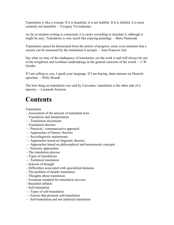Translation is like a woman. If it is beautiful, it is not faithful. If it is faithful, it is most certainly not beautiful.  $\sim$  Yevgeny Yevtushenko

As far as modern writing is concerned, it is rarely rewarding to translate it, although it might be easy. Translation is very much like copying paintings.  $\sim$  Boris Pasternak

Translation cannot be dissociated from the notion of progress, some even maintain that a society can be measured by the translation it accepts.  $\sim$  Jean-Francois Joly

Say what we may of the inadequacy of translation, yet the work is and will always be one of the weightiest and worthiest undertakings in the general concerns of the world.  $\sim$  J. W. Goethe

If I am selling to you, I speak your language. If I am buying, dann müssen sie Deutsch sprechen.  $\sim$  Willy Brandt

The best thing on translation was said by Cervantes: translation is the other side of a tapestry. ~ Leonardo Sciascia

# **Contents**

Translation

- Assessment of the amount of translated texts
- Translation and interpretation
- - Translation documents
- Translation theories
- - Practical / communicative approach
- - Approaches of literary theories
- - Sociolinguistic mainstream
- - Approaches based on linguistic theories
- - Approaches based on philosophical and hermeneutic concepts
- - Semiotic approaches
- The translation process
- Types of translations
- - Technical translation
- Schools of thought
- Difficulties associated with specialized domains
- The problem of double translation
- Thoughts about translation
- European standard for translation services
- Beautiful infidels
- Self-translation
- - Types of self-translation
- - Factors that promote self-translation
- - Self-translation and not authorial translation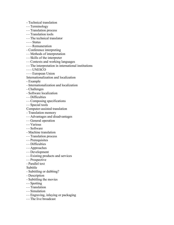- Technical translation
- - Terminology
- - Translation process
- - Translation tools
- - The technical translator
- - Status
- - Remuneration
- Conference interpreting
- - Methods of interpretation
- - Skills of the interpreter
- - Contexts and working languages
- - The interpretation in international institutions
- - UNESCO
- - European Union
- Internationalization and localization
- Example
- Internationalization and localization
- Challenges
- Software localization
- - Difficulties
- - Composing specifications
- - Special tools
- Computer-assisted translation
- Translation memory
- - Advantages and disadvantages
- - General operation
- - Various
- - Software
- Machine translation
- - Translation process
- - Prerequisites
- - Difficulties
- - Approaches
- - Development
- - Existing products and services
- - Prospective
- Parallel text
- Subtitle
- Subtitling or dubbing?
- Description
- Subtitling the movies
- - Spotting
- - Translation
- - Simulation
- - Engraving, inlaying or packaging
- - The live broadcast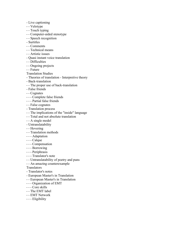- Live captioning
- - Velotype
- - Touch typing
- - Computer-aided stenotype
- - Speech recognition
- Surtitles
- - Comments
- - Technical means
- - Artistic issues
- Quasi instant voice translation
- - Difficulties
- - Ongoing projects
- - Future
- Translation Studies
- Theories of translation Interpretive theory
- Back-translation
- - The proper use of back-translation
- False friends
- - Cognates
- - Complete false friends
- - Partial false friends
- - False cognates
- Translation process
- - The implications of the "inside" language
- - Total and not absolute translation
- - A single model
- Untranslatability
- - Hovering
- - Translation methods
- - Adaptation
- - Calque
- - Compensation
- - Borrowing
- - Periphrasis
- - Translator's note
- - Untranslatability of poetry and puns
- - An amazing counterexample
- Translators
- Translator's notes
- European Master's in Translation
- - European Master's in Translation
- - Organization of EMT
- - Core skills
- - The EMT label
- - EMT Network
- - Eligibility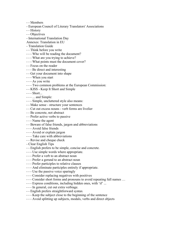- - Members

- European Council of Literary Translators' Associations
- - History
- - Objectives
- International Translation Day
- Annexes: Translation in EU
- Translation Guide
- - Think before you write
- - Who will be reading the document?
- - What are you trying to achieve?
- - What points must the document cover?
- - Focus on the reader
- - Be direct and interesting
- - Get your document into shape
- - When you start
- - As you write
- - Two common problems at the European Commission:
- - KISS Keep It Short and Simple
- - Short...
- - ... and Simple:
- - Simple, uncluttered style also means:
- - Make sense structure your sentences
- - Cut out excess nouns verb forms are livelier
- - Be concrete, not abstract
- - Prefer active verbs to passive
- - Name the agent
- - Beware of false friends, jargon and abbreviations
- - Avoid false friends
- - Avoid or explain jargon
- - Take care with abbreviations
- - Revise and cheque check
- Clear English Tips
- - English prefers to be simple, concise and concrete.
- - Use simple words where appropriate.
- - Prefer a verb to an abstract noun
- - Prefer a gerund to an abstract noun
- - Prefer participles to relative clauses
- - And eliminate participles entirely if appropriate.
- - Use the passive voice sparingly
- - Consider replacing negatives with positives
- - Consider short forms and pronouns to avoid repeating full names …
- - Express conditions, including hidden ones, with 'if' ...
- - In general, cut out extra verbiage.
- - English prefers straightforward syntax
- - Keep the subject close to the beginning of the sentence
- - Avoid splitting up subjects, modals, verbs and direct objects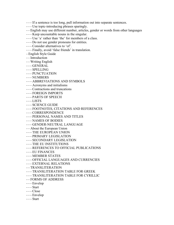- - - If a sentence is too long, pull information out into separate sentences.

- - - Use topic-introducing phrases sparingly.

- - English may use different number, articles, gender or words from other languages

- - Keep uncountable nouns in the singular.
- - Use 'a' rather than 'the' for members of a class.
- - Do not use gender pronouns for entities.
- - Consider alternatives to 'of'.
- - Finally, avoid 'false friends' in translation.
- English Style Guide
- - Introduction
- - Writing English
- - GENERAL
- - SPELLING
- - PUNCTUATION
- - NUMBERS
- - ABBREVIATIONS AND SYMBOLS
- - Acronyms and initialisms
- - Contractions and truncations
- - FOREIGN IMPORTS
- - PARTS OF SPEECH
- - LISTS
- - SCIENCE GUIDE
- - FOOTNOTES, CITATIONS AND REFERENCES
- - CORRESPONDENCE
- - PERSONAL NAMES AND TITLES
- - NAMES OF BODIES
- - GENDER-NEUTRAL LANGUAGE
- - About the European Union
- - THE EUROPEAN UNION
- - PRIMARY LEGISLATION
- - SECONDARY LEGISLATION
- - THE EU INSTITUTIONS
- - REFERENCES TO OFFICIAL PUBLICATIONS
- - EU FINANCES
- - MEMBER STATES
- - OFFICIAL LANGUAGES AND CURRENCIES
- - EXTERNAL RELATIONS
- - TRANSLITERATION
- - TRANSLITERATION TABLE FOR GREEK
- - TRANSLITERATION TABLE FOR CYRILLIC
- - FORMS OF ADDRESS
- - Envelop
- - Start
- - Close
- - Envelop
- - Start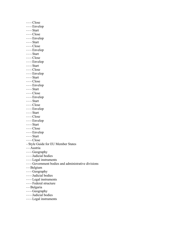- - Close
- - Envelop
- - Start
- - Close
- - Envelop
- - Start
- - Close
- - Envelop
- - Start
- - Close
- - Envelop
- - Start
- - Close
- - Envelop
- - Start
- - Close
- - Envelop
- - Start
- - Close
- - Envelop
- - Start
- - Close
- - Envelop
- - Start
- - Close
- - Envelop
- - Start
- - Close
- - Envelop
- - Start
- - Close
- Style Guide for EU Member States
- - Austria
- - Geography
- - Judicial bodies
- - Legal instruments
- - Government bodies and administrative divisions
- - Belgium
- - Geography
- - Judicial bodies
- - Legal instruments
- - Federal structure
- - Bulgaria
- - Geography
- - Judicial bodies
- - Legal instruments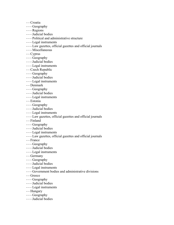- - Croatia
- - Geography
- - Regions
- - Judicial bodies
- - Political and administrative structure
- - Legal instruments
- - Law gazettes, official gazettes and official journals
- - Miscellaneous
- - Cyprus
- - Geography
- - Judicial bodies
- - Legal instruments
- - Czech Republic
- - Geography
- - Judicial bodies
- - Legal instruments
- - Denmark
- - Geography
- - Judicial bodies
- - Legal instruments
- - Estonia
- - Geography
- - Judicial bodies
- - Legal instruments
- - Law gazettes, official gazettes and official journals
- - Finland
- - Geography
- - Judicial bodies
- - Legal instruments
- - Law gazettes, official gazettes and official journals
- - France
- - Geography
- - Judicial bodies
- - Legal instruments
- - Germany
- - Geography
- - Judicial bodies
- - Legal instruments
- - Government bodies and administrative divisions
- - Greece
- - Geography
- - Judicial bodies
- - Legal instruments
- - Hungary
- - Geography
- - Judicial bodies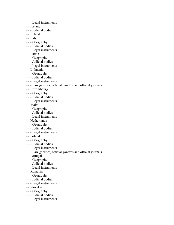- - Legal instruments
- - Iceland
- - Judicial bodies
- - Ireland
- - Italy
- - Geography
- - Judicial bodies
- - Legal instruments
- - Latvia
- - Geography
- - Judicial bodies
- - Legal instruments
- - Lithuania
- - Geography
- - Judicial bodies
- - Legal instruments
- - Law gazettes, official gazettes and official journals
- - Luxembourg
- - Geography
- - Judicial bodies
- - Legal instruments
- - Malta
- - Geography
- - Judicial bodies
- - Legal instruments
- - Netherlands
- - Geography
- - Judicial bodies
- - Legal instruments
- - Poland
- - Geography
- - Judicial bodies
- - Legal instruments
- - Law gazettes, official gazettes and official journals
- - Portugal
- - Geography
- - Judicial bodies
- - Legal instruments
- - Romania
- - Geography
- - Judicial bodies
- - Legal instruments
- - Slovakia
- - Geography
- - Judicial bodies
- - Legal instruments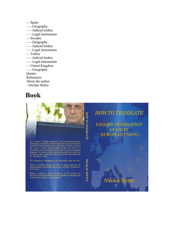- - Spain - - - Geography - - - Judicial bodies - - - Legal instruments - - Sweden - - - Geography - - - Judicial bodies - - - Legal instruments - - Turkey - - - Judicial bodies - - - Legal instruments - - United Kingdom - - - Geography **Quotes** References About the author - Nicolae Sfetcu

### **Book**



For a "smart", sensible translation , you should forget not the<br>knowledge acquired at school or university, but the corrective<br>standards. Some people want a translation with the touch of<br>the source version, while another anguage. We have to realize that both people have right and<br>wrong, and that their only fault is to present requirement as<br>an absolute truth.

"If a sentence is ambiguous, the translation must also be".

There is another critical, less easy to argue, based on an Italian phrase with particularly strong wording: "Traduttore, traditore".

What to sacrifice, clarity or brevity, if the formula in the text is brief and effective, but impossible to translate into so few words with the exact meaning?

**NICOLAE SFETCU** 

**HOW TO TRANSLATE** 

**ENGLISH TRANSLATION GUIDE IN EUROPEAN UNION** 

Nicolae Sfetcu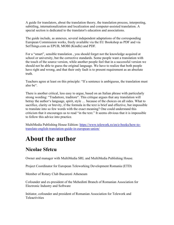A guide for translators, about the translation theory, the translation process, interpreting, subtitling, internationalization and localization and computer-assisted translation. A special section is dedicated to the translator's education and associations.

The guide include, as annexes, several independent adaptations of the corresponding European Commission works, freely available via the EU Bookshop as PDF and via SetThings.com as EPUB, MOBI (Kindle) and PDF.

For a "smart", sensible translation , you should forget not the knowledge acquired at school or university, but the corrective standards. Some people want a translation with the touch of the source version, while another people feel that in a successful version we should not be able to guess the original language. We have to realize that both people have right and wrong, and that their only fault is to present requirement as an absolute truth.

Teachers agree at least on this principle: "If a sentence is ambiguous, the translation must also be".

There is another critical, less easy to argue, based on an Italian phrase with particularly strong wording: "Traduttore, traditore". This critique argues that any translation will betray the author's language, spirit, style … because of the choices on all sides. What to sacrifice, clarity or brevity, if the formula in the text is brief and effective, but impossible to translate into so few words with the exact meaning? One could understand this criticism that it encourages us to read "in the text." It seems obvious that it is impossible to follow this advice into practice.

MultiMedia Publishing House Edition: [https://www.telework.ro/en/e-books/how-to](https://www.telework.ro/en/e-books/how-to-translate-english-translation-guide-in-european-union/)[translate-english-translation-guide-in-european-union/](https://www.telework.ro/en/e-books/how-to-translate-english-translation-guide-in-european-union/)

# **About the author**

### **Nicolae Sfetcu**

Owner and manager with MultiMedia SRL and MultiMedia Publishing House.

Project Coordinator for European Teleworking Development Romania (ETD)

Member of Rotary Club Bucuresti Atheneum

Cofounder and ex-president of the Mehedinti Branch of Romanian Association for Electronic Industry and Software

Initiator, cofounder and president of Romanian Association for Telework and Teleactivities